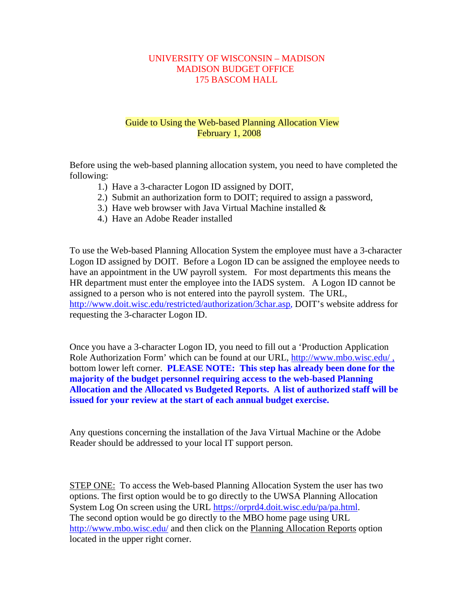## UNIVERSITY OF WISCONSIN – MADISON MADISON BUDGET OFFICE 175 BASCOM HALL

## Guide to Using the Web-based Planning Allocation View February 1, 2008

Before using the web-based planning allocation system, you need to have completed the following:

- 1.) Have a 3-character Logon ID assigned by DOIT,
- 2.) Submit an authorization form to DOIT; required to assign a password,
- 3.) Have web browser with Java Virtual Machine installed  $\&$
- 4.) Have an Adobe Reader installed

To use the Web-based Planning Allocation System the employee must have a 3-character Logon ID assigned by DOIT. Before a Logon ID can be assigned the employee needs to have an appointment in the UW payroll system. For most departments this means the HR department must enter the employee into the IADS system. A Logon ID cannot be assigned to a person who is not entered into the payroll system. The URL, http://www.doit.wisc.edu/restricted/authorization/3char.asp, DOIT's website address for requesting the 3-character Logon ID.

Once you have a 3-character Logon ID, you need to fill out a 'Production Application Role Authorization Form' which can be found at our URL, http://www.mbo.wisc.edu/, bottom lower left corner. **PLEASE NOTE: This step has already been done for the majority of the budget personnel requiring access to the web-based Planning Allocation and the Allocated vs Budgeted Reports. A list of authorized staff will be issued for your review at the start of each annual budget exercise.**

Any questions concerning the installation of the Java Virtual Machine or the Adobe Reader should be addressed to your local IT support person.

STEP ONE: To access the Web-based Planning Allocation System the user has two options. The first option would be to go directly to the UWSA Planning Allocation System Log On screen using the URL https://orprd4.doit.wisc.edu/pa/pa.html. The second option would be go directly to the MBO home page using URL http://www.mbo.wisc.edu/ and then click on the Planning Allocation Reports option located in the upper right corner.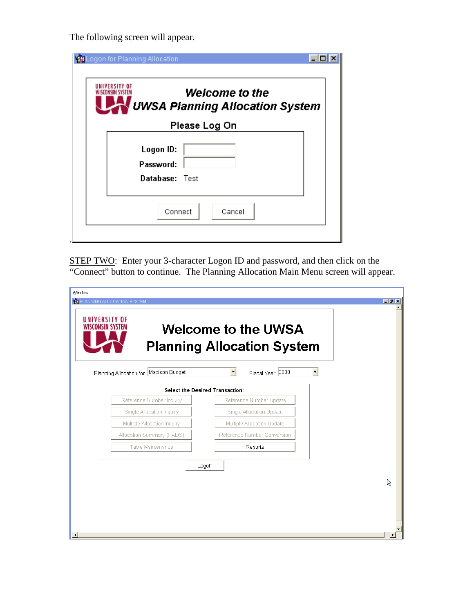The following screen will appear.

| Logon for Planning Allocation                                                      |  |
|------------------------------------------------------------------------------------|--|
| <b>Welcome to the</b><br>WISCONSIN SYSTI<br><b>UWSA Planning Allocation System</b> |  |
| Please Log On                                                                      |  |
| Logon ID:<br>Password:<br>Database: Test                                           |  |
| Connect<br>Cancel                                                                  |  |

STEP TWO: Enter your 3-character Logon ID and password, and then click on the "Connect" button to continue. The Planning Allocation Main Menu screen will appear.

| <b>VEIPLANNING ALLOCATION SYSTEM</b>            |                                                                 |                      |
|-------------------------------------------------|-----------------------------------------------------------------|----------------------|
| <b>IINIVERSITY OF</b><br>SCONSIN SYSTE <i>I</i> | <b>Welcome to the UWSA</b><br><b>Planning Allocation System</b> |                      |
| Planning Allocation for Madison Budget          | $\blacktriangledown$<br>Fiscal Year 2008                        | $\blacktriangledown$ |
|                                                 | <b>Select the Desired Transaction:</b>                          |                      |
| Reference Number Inquiry                        | Reference Number Update                                         |                      |
| Single Allocation Inquiry                       | Single Allocation Update                                        |                      |
| Multiple Allocation Inquiry                     | Multiple Allocation Update                                      |                      |
| Allocation Summary (PADS)                       | Reference Number Conversion                                     |                      |
| Table Maintenance                               | Reports                                                         |                      |
|                                                 | Logoff                                                          |                      |
|                                                 |                                                                 |                      |
|                                                 |                                                                 |                      |
|                                                 |                                                                 |                      |
|                                                 |                                                                 |                      |
|                                                 |                                                                 |                      |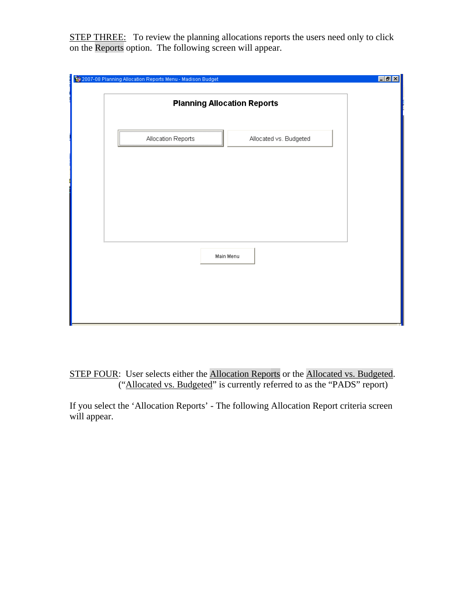STEP THREE: To review the planning allocations reports the users need only to click on the Reports option. The following screen will appear.

| 2007-08 Planning Allocation Reports Menu - Madison Budget | FF[x] |
|-----------------------------------------------------------|-------|
| <b>Planning Allocation Reports</b>                        |       |
| Allocated vs. Budgeted<br>Allocation Reports              |       |
|                                                           |       |
|                                                           |       |
| Main Menu                                                 |       |
|                                                           |       |
|                                                           |       |

STEP FOUR: User selects either the Allocation Reports or the Allocated vs. Budgeted. ("Allocated vs. Budgeted" is currently referred to as the "PADS" report)

If you select the 'Allocation Reports' - The following Allocation Report criteria screen will appear.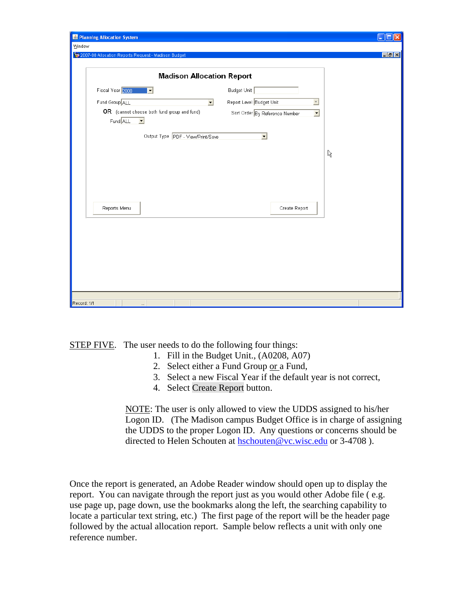| Ranning Allocation System                           |                                                                             | $\Box$ ok |
|-----------------------------------------------------|-----------------------------------------------------------------------------|-----------|
| Window                                              |                                                                             |           |
| 2007-08 Allocation Reports Request - Madison Budget |                                                                             | E[X]      |
|                                                     |                                                                             |           |
| <b>Madison Allocation Report</b>                    |                                                                             |           |
| Fiscal Year 2008<br>$\overline{\phantom{a}}$        | Budget Unit                                                                 |           |
| Fund Group ALL                                      | Report Level Budget Unit<br>$\overline{\phantom{a}}$<br>$\vert \cdot \vert$ |           |
| OR (cannot choose both fund group and fund)         | Sort Order By Reference Number<br>$\overline{\phantom{0}}$                  |           |
| FundALL<br>$\vert \cdot \vert$                      |                                                                             |           |
|                                                     |                                                                             |           |
| Output Type PDF - View/Print/Save                   | $\vert \cdot \vert$                                                         |           |
|                                                     |                                                                             |           |
|                                                     |                                                                             | ß         |
|                                                     |                                                                             |           |
|                                                     |                                                                             |           |
|                                                     |                                                                             |           |
|                                                     |                                                                             |           |
| Reports Menu                                        | Create Report                                                               |           |
|                                                     |                                                                             |           |
|                                                     |                                                                             |           |
|                                                     |                                                                             |           |
|                                                     |                                                                             |           |
|                                                     |                                                                             |           |
|                                                     |                                                                             |           |
|                                                     |                                                                             |           |
|                                                     |                                                                             |           |
|                                                     |                                                                             |           |
|                                                     |                                                                             |           |
| Record: 1/1<br>$\cdots$                             |                                                                             |           |

**STEP FIVE.** The user needs to do the following four things:

- 1. Fill in the Budget Unit., (A0208, A07)
- 2. Select either a Fund Group or a Fund,
- 3. Select a new Fiscal Year if the default year is not correct,
- 4. Select Create Report button.

NOTE: The user is only allowed to view the UDDS assigned to his/her Logon ID. (The Madison campus Budget Office is in charge of assigning the UDDS to the proper Logon ID. Any questions or concerns should be directed to Helen Schouten at hschouten@vc.wisc.edu or 3-4708).

Once the report is generated, an Adobe Reader window should open up to display the report. You can navigate through the report just as you would other Adobe file ( e.g. use page up, page down, use the bookmarks along the left, the searching capability to locate a particular text string, etc.) The first page of the report will be the header page followed by the actual allocation report. Sample below reflects a unit with only one reference number.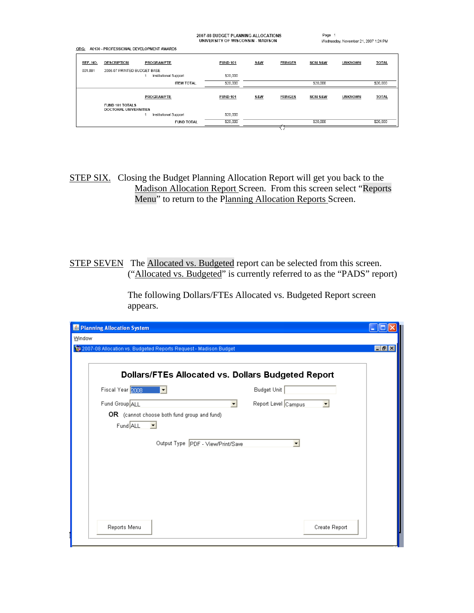| 2007-08 BUDGET PLANNING ALLOCATIONS |  |
|-------------------------------------|--|
| UNIVERSITY OF WISCONSIN - MADISON   |  |

ORG: A0130 - PROFESSIONAL DEVELOPMENT AWARDS

| $   -$   |                                          |                       |                 |                |                |                    |                |              |
|----------|------------------------------------------|-----------------------|-----------------|----------------|----------------|--------------------|----------------|--------------|
| REF. NO. | <b>DESCRIPTION</b>                       | PROGRAM/FTE           | <b>FUND 101</b> | <b>S&amp;W</b> | <b>FRINGES</b> | <b>NON S&amp;W</b> | <b>UNKNOWN</b> | <b>TOTAL</b> |
| 001.001  | 2006-07 PRINTED BUDGET BASE              |                       |                 |                |                |                    |                |              |
|          |                                          | Institutional Support | \$20,000        |                |                |                    |                |              |
|          |                                          | <b>ITEM TOTAL</b>     | \$20,000        |                |                | \$20,000           |                | \$20,000     |
|          |                                          |                       |                 |                |                |                    |                |              |
|          |                                          | <b>PROGRAM/FTE</b>    | <b>FUND 101</b> | S&W            | <b>FRINGES</b> | <b>NON S&amp;W</b> | <b>UNKNOWN</b> | <b>TOTAL</b> |
|          | FUND 101 TOTALS<br>DOCTORAL UNIVERSITIES |                       |                 |                |                |                    |                |              |
|          |                                          | Institutional Support | \$20,000        |                |                |                    |                |              |
|          |                                          | <b>FUND TOTAL</b>     | \$20,000        |                |                | \$20,000           |                | \$20,000     |
|          |                                          |                       |                 |                |                |                    |                |              |

STEP SIX. Closing the Budget Planning Allocation Report will get you back to the Madison Allocation Report Screen. From this screen select "Reports Menu" to return to the Planning Allocation Reports Screen.

STEP SEVEN The Allocated vs. Budgeted report can be selected from this screen. ("Allocated vs. Budgeted" is currently referred to as the "PADS" report)

> The following Dollars/FTEs Allocated vs. Budgeted Report screen appears.

| Planning Allocation System                                       |                     |                   |
|------------------------------------------------------------------|---------------------|-------------------|
| Window                                                           |                     |                   |
| 2007-08 Allocation vs. Budgeted Reports Request - Madison Budget |                     | $\Box$ e $\times$ |
|                                                                  |                     |                   |
| <b>Dollars/FTEs Allocated vs. Dollars Budgeted Report</b>        |                     |                   |
| Fiscal Year 2008                                                 | <b>Budget Unit</b>  |                   |
| Fund Group ALL<br>$\overline{\mathbf{v}}$                        | Report Level Campus |                   |
| OR (cannot choose both fund group and fund)                      |                     |                   |
| Fund ALL<br>$\overline{\phantom{a}}$                             |                     |                   |
| Output Type   PDF - View/Print/Save                              | $\blacksquare$      |                   |
|                                                                  |                     |                   |
|                                                                  |                     |                   |
|                                                                  |                     |                   |
|                                                                  |                     |                   |
|                                                                  |                     |                   |
|                                                                  |                     |                   |
|                                                                  |                     |                   |
| Reports Menu                                                     | Create Report       |                   |
|                                                                  |                     |                   |